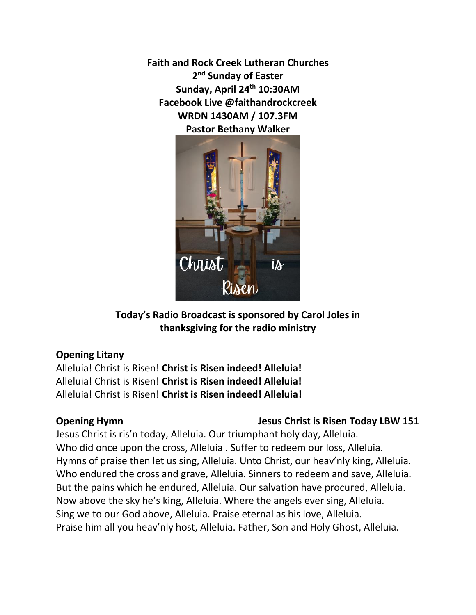**Faith and Rock Creek Lutheran Churches 2 nd Sunday of Easter Sunday, April 24th 10:30AM Facebook Live @faithandrockcreek WRDN 1430AM / 107.3FM Pastor Bethany Walker**



**Today's Radio Broadcast is sponsored by Carol Joles in thanksgiving for the radio ministry**

### **Opening Litany**

Alleluia! Christ is Risen! **Christ is Risen indeed! Alleluia!** Alleluia! Christ is Risen! **Christ is Risen indeed! Alleluia!** Alleluia! Christ is Risen! **Christ is Risen indeed! Alleluia!**

# **Opening Hymn** Jesus Christ is Risen Today LBW 151

Jesus Christ is ris'n today, Alleluia. Our triumphant holy day, Alleluia. Who did once upon the cross, Alleluia . Suffer to redeem our loss, Alleluia. Hymns of praise then let us sing, Alleluia. Unto Christ, our heav'nly king, Alleluia. Who endured the cross and grave, Alleluia. Sinners to redeem and save, Alleluia. But the pains which he endured, Alleluia. Our salvation have procured, Alleluia. Now above the sky he's king, Alleluia. Where the angels ever sing, Alleluia. Sing we to our God above, Alleluia. Praise eternal as his love, Alleluia. Praise him all you heav'nly host, Alleluia. Father, Son and Holy Ghost, Alleluia.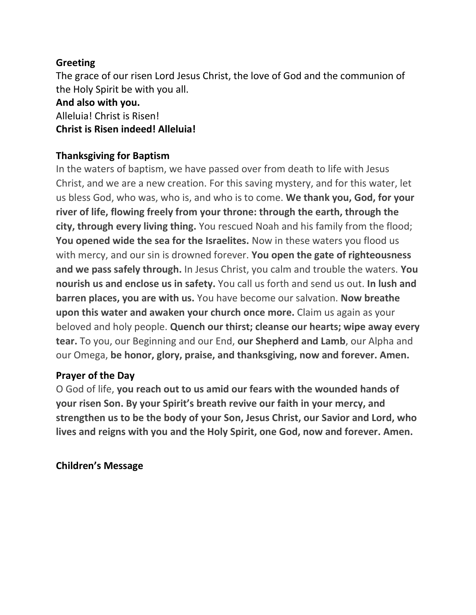# **Greeting**

The grace of our risen Lord Jesus Christ, the love of God and the communion of the Holy Spirit be with you all.

# **And also with you.**

Alleluia! Christ is Risen!

# **Christ is Risen indeed! Alleluia!**

# **Thanksgiving for Baptism**

In the waters of baptism, we have passed over from death to life with Jesus Christ, and we are a new creation. For this saving mystery, and for this water, let us bless God, who was, who is, and who is to come. **We thank you, God, for your river of life, flowing freely from your throne: through the earth, through the city, through every living thing.** You rescued Noah and his family from the flood; **You opened wide the sea for the Israelites.** Now in these waters you flood us with mercy, and our sin is drowned forever. **You open the gate of righteousness and we pass safely through.** In Jesus Christ, you calm and trouble the waters. **You nourish us and enclose us in safety.** You call us forth and send us out. **In lush and barren places, you are with us.** You have become our salvation. **Now breathe upon this water and awaken your church once more.** Claim us again as your beloved and holy people. **Quench our thirst; cleanse our hearts; wipe away every tear.** To you, our Beginning and our End, **our Shepherd and Lamb**, our Alpha and our Omega, **be honor, glory, praise, and thanksgiving, now and forever. Amen.**

# **Prayer of the Day**

O God of life, **you reach out to us amid our fears with the wounded hands of your risen Son. By your Spirit's breath revive our faith in your mercy, and strengthen us to be the body of your Son, Jesus Christ, our Savior and Lord, who lives and reigns with you and the Holy Spirit, one God, now and forever. Amen.**

**Children's Message**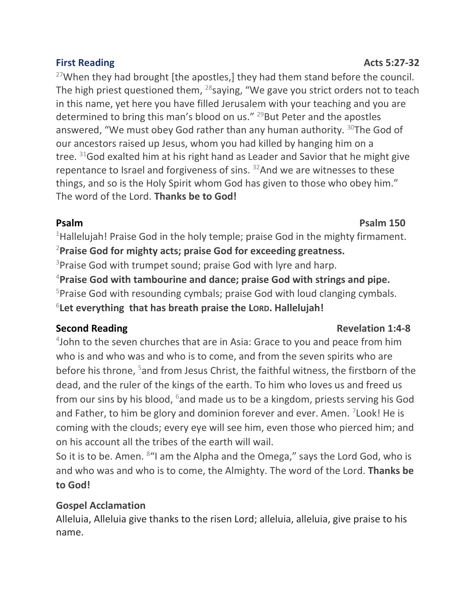# $27$ When they had brought [the apostles,] they had them stand before the council.

The high priest questioned them,  $^{28}$ saying, "We gave you strict orders not to teach in this name, yet here you have filled Jerusalem with your teaching and you are determined to bring this man's blood on us." <sup>29</sup>But Peter and the apostles answered, "We must obey God rather than any human authority.  $30T$ he God of our ancestors raised up Jesus, whom you had killed by hanging him on a tree.  $31$  God exalted him at his right hand as Leader and Savior that he might give repentance to Israel and forgiveness of sins. <sup>32</sup>And we are witnesses to these things, and so is the Holy Spirit whom God has given to those who obey him." The word of the Lord. **Thanks be to God!**

<sup>1</sup>Hallelujah! Praise God in the holy temple; praise God in the mighty firmament. <sup>2</sup>**Praise God for mighty acts; praise God for exceeding greatness.**  $3$ Praise God with trumpet sound; praise God with lyre and harp. <sup>4</sup>**Praise God with tambourine and dance; praise God with strings and pipe.** <sup>5</sup>Praise God with resounding cymbals; praise God with loud clanging cymbals.

6 **Let everything that has breath praise the LORD. Hallelujah!**

4 John to the seven churches that are in Asia: Grace to you and peace from him who is and who was and who is to come, and from the seven spirits who are before his throne, <sup>5</sup>and from Jesus Christ, the faithful witness, the firstborn of the dead, and the ruler of the kings of the earth. To him who loves us and freed us from our sins by his blood, <sup>6</sup>and made us to be a kingdom, priests serving his God and Father, to him be glory and dominion forever and ever. Amen. <sup>7</sup>Look! He is coming with the clouds; every eye will see him, even those who pierced him; and on his account all the tribes of the earth will wail.

So it is to be. Amen. <sup>8</sup> <sup>a</sup> am the Alpha and the Omega," says the Lord God, who is and who was and who is to come, the Almighty. The word of the Lord. **Thanks be to God!**

# **Gospel Acclamation**

Alleluia, Alleluia give thanks to the risen Lord; alleluia, alleluia, give praise to his name.

# **Second Reading Constraining Second Revelation 1:4-8**

# **Psalm Psalm 150**

### **First Reading Acts 5:27-32**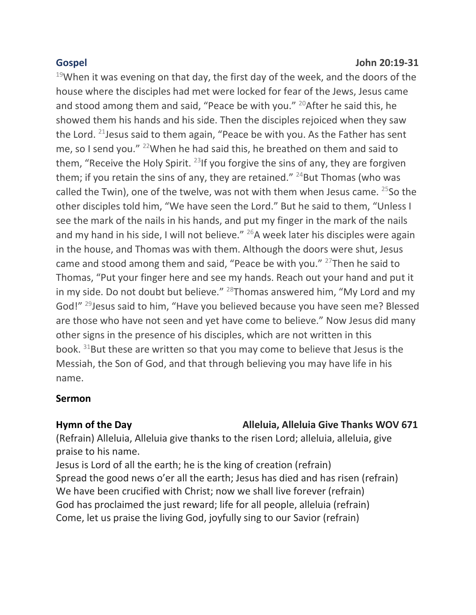$19$ When it was evening on that day, the first day of the week, and the doors of the house where the disciples had met were locked for fear of the Jews, Jesus came and stood among them and said, "Peace be with you." <sup>20</sup>After he said this, he showed them his hands and his side. Then the disciples rejoiced when they saw the Lord. <sup>21</sup>Jesus said to them again, "Peace be with you. As the Father has sent me, so I send you." <sup>22</sup>When he had said this, he breathed on them and said to them, "Receive the Holy Spirit.  $^{23}$ If you forgive the sins of any, they are forgiven them; if you retain the sins of any, they are retained."  $24$ But Thomas (who was called the Twin), one of the twelve, was not with them when Jesus came.  $25$ So the other disciples told him, "We have seen the Lord." But he said to them, "Unless I see the mark of the nails in his hands, and put my finger in the mark of the nails and my hand in his side, I will not believe." <sup>26</sup>A week later his disciples were again in the house, and Thomas was with them. Although the doors were shut, Jesus came and stood among them and said, "Peace be with you." <sup>27</sup>Then he said to Thomas, "Put your finger here and see my hands. Reach out your hand and put it in my side. Do not doubt but believe."  $^{28}$ Thomas answered him, "My Lord and my God!" <sup>29</sup>Jesus said to him, "Have you believed because you have seen me? Blessed are those who have not seen and yet have come to believe." Now Jesus did many other signs in the presence of his disciples, which are not written in this book.  $31$ But these are written so that you may come to believe that Jesus is the Messiah, the Son of God, and that through believing you may have life in his name.

# **Sermon**

# Hymn of the Day **Alleluia, Alleluia Give Thanks WOV 671**

(Refrain) Alleluia, Alleluia give thanks to the risen Lord; alleluia, alleluia, give praise to his name.

Jesus is Lord of all the earth; he is the king of creation (refrain) Spread the good news o'er all the earth; Jesus has died and has risen (refrain) We have been crucified with Christ; now we shall live forever (refrain) God has proclaimed the just reward; life for all people, alleluia (refrain) Come, let us praise the living God, joyfully sing to our Savior (refrain)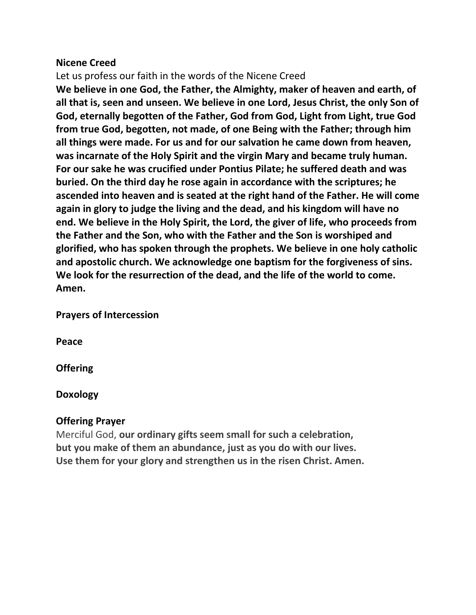### **Nicene Creed**

Let us profess our faith in the words of the Nicene Creed

**We believe in one God, the Father, the Almighty, maker of heaven and earth, of all that is, seen and unseen. We believe in one Lord, Jesus Christ, the only Son of God, eternally begotten of the Father, God from God, Light from Light, true God from true God, begotten, not made, of one Being with the Father; through him all things were made. For us and for our salvation he came down from heaven, was incarnate of the Holy Spirit and the virgin Mary and became truly human. For our sake he was crucified under Pontius Pilate; he suffered death and was buried. On the third day he rose again in accordance with the scriptures; he ascended into heaven and is seated at the right hand of the Father. He will come again in glory to judge the living and the dead, and his kingdom will have no end. We believe in the Holy Spirit, the Lord, the giver of life, who proceeds from the Father and the Son, who with the Father and the Son is worshiped and glorified, who has spoken through the prophets. We believe in one holy catholic and apostolic church. We acknowledge one baptism for the forgiveness of sins. We look for the resurrection of the dead, and the life of the world to come. Amen.**

**Prayers of Intercession** 

**Peace**

**Offering** 

# **Doxology**

# **Offering Prayer**

Merciful God, **our ordinary gifts seem small for such a celebration, but you make of them an abundance, just as you do with our lives. Use them for your glory and strengthen us in the risen Christ. Amen.**